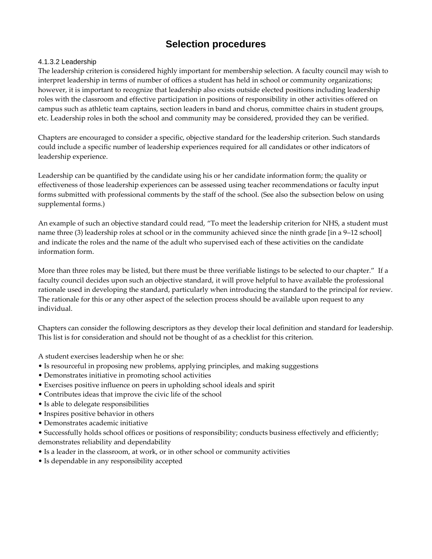# **Selection procedures**

## 4.1.3.2 Leadership

The leadership criterion is considered highly important for membership selection. A faculty council may wish to interpret leadership in terms of number of offices a student has held in school or community organizations; however, it is important to recognize that leadership also exists outside elected positions including leadership roles with the classroom and effective participation in positions of responsibility in other activities offered on campus such as athletic team captains, section leaders in band and chorus, committee chairs in student groups, etc. Leadership roles in both the school and community may be considered, provided they can be verified.

Chapters are encouraged to consider a specific, objective standard for the leadership criterion. Such standards could include a specific number of leadership experiences required for all candidates or other indicators of leadership experience.

Leadership can be quantified by the candidate using his or her candidate information form; the quality or effectiveness of those leadership experiences can be assessed using teacher recommendations or faculty input forms submitted with professional comments by the staff of the school. (See also the subsection below on using supplemental forms.)

An example of such an objective standard could read, "To meet the leadership criterion for NHS, a student must name three (3) leadership roles at school or in the community achieved since the ninth grade [in a 9–12 school] and indicate the roles and the name of the adult who supervised each of these activities on the candidate information form.

More than three roles may be listed, but there must be three verifiable listings to be selected to our chapter." If a faculty council decides upon such an objective standard, it will prove helpful to have available the professional rationale used in developing the standard, particularly when introducing the standard to the principal for review. The rationale for this or any other aspect of the selection process should be available upon request to any individual.

Chapters can consider the following descriptors as they develop their local definition and standard for leadership. This list is for consideration and should not be thought of as a checklist for this criterion.

A student exercises leadership when he or she:

- Is resourceful in proposing new problems, applying principles, and making suggestions
- Demonstrates initiative in promoting school activities
- Exercises positive influence on peers in upholding school ideals and spirit
- Contributes ideas that improve the civic life of the school
- Is able to delegate responsibilities
- Inspires positive behavior in others
- Demonstrates academic initiative
- Successfully holds school offices or positions of responsibility; conducts business effectively and efficiently; demonstrates reliability and dependability
- Is a leader in the classroom, at work, or in other school or community activities
- Is dependable in any responsibility accepted